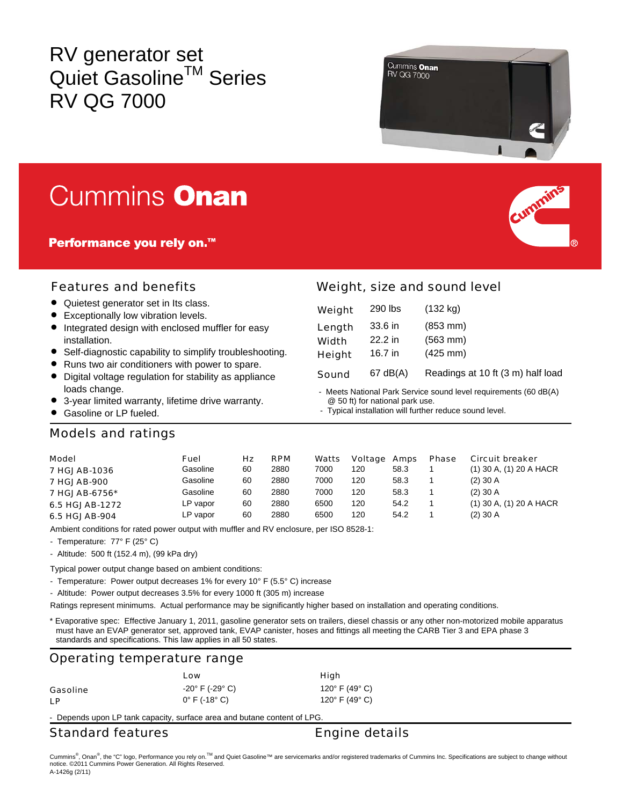# RV generator set Quiet Gasoline™ Series RV QG 7000



# **Cummins Onan**

**Performance you rely on.™** 



#### Features and benefits

- Quietest generator set in Its class.
- Exceptionally low vibration levels.
- Integrated design with enclosed muffler for easy installation.
- Self-diagnostic capability to simplify troubleshooting.
- Runs two air conditioners with power to spare.
- Digital voltage regulation for stability as appliance loads change.
- 3-year limited warranty, lifetime drive warranty.
- Gasoline or LP fueled.

### Weight, size and sound level

| Weight       | 290 lbs   | $(132 \text{ kg})$                |
|--------------|-----------|-----------------------------------|
| Length       | 33.6 in   | $(853 \, \text{mm})$              |
| <b>Width</b> | $22.2$ in | $(563 \, \text{mm})$              |
| Height       | 16.7 in   | $(425 \, \text{mm})$              |
| Sound        | 67 dB(A)  | Readings at 10 ft (3 m) half load |

- Meets National Park Service sound level requirements (60 dB(A) @ 50 ft) for national park use.

- Typical installation will further reduce sound level.

#### Models and ratings

| <b>Model</b>        | Fuel     | Hz | <b>RPM</b> | Watts | Voltage Amps |      | <b>Phase</b> | <b>Circuit breaker</b>      |
|---------------------|----------|----|------------|-------|--------------|------|--------------|-----------------------------|
| <b>7 HGJAB-1036</b> | Gasoline | 60 | 2880       | 7000  | 120          | 58.3 |              | $(1)$ 30 A, $(1)$ 20 A HACR |
| <b>7 HGJAB-900</b>  | Gasoline | 60 | 2880       | 7000  | 120          | 58.3 |              | $(2)$ 30 A                  |
| 7 HGJAB-6756*       | Gasoline | 60 | 2880       | 7000  | 120          | 58.3 |              | $(2)$ 30 A                  |
| 6.5 HGJAB-1272      | LP vapor | 60 | 2880       | 6500  | 120          | 54.2 |              | $(1)$ 30 A, $(1)$ 20 A HACR |
| 6.5 HGJAB-904       | LP vapor | 60 | 2880       | 6500  | 120          | 54.2 |              | $(2)$ 30 A                  |

Ambient conditions for rated power output with muffler and RV enclosure, per ISO 8528-1:

- Temperature: 77° F (25° C)

- Altitude: 500 ft (152.4 m), (99 kPa dry)

Typical power output change based on ambient conditions:

- Temperature: Power output decreases 1% for every 10° F (5.5° C) increase

- Altitude: Power output decreases 3.5% for every 1000 ft (305 m) increase

Ratings represent minimums. Actual performance may be significantly higher based on installation and operating conditions.

\* Evaporative spec: Effective January 1, 2011, gasoline generator sets on trailers, diesel chassis or any other non-motorized mobile apparatus must have an EVAP generator set, approved tank, EVAP canister, hoses and fittings all meeting the CARB Tier 3 and EPA phase 3 standards and specifications. This law applies in all 50 states.

#### Operating temperature range

|          | Low                                                 | High                                                                     |
|----------|-----------------------------------------------------|--------------------------------------------------------------------------|
| Gasoline | $-20^{\circ}$ F (-29 $^{\circ}$ C)<br>0° F (-18° C) | 120 $^{\circ}$ F (49 $^{\circ}$ C)<br>120 $^{\circ}$ F (49 $^{\circ}$ C) |
| LР       |                                                     |                                                                          |

- Depends upon LP tank capacity, surface area and butane content of LPG.

#### Standard features **Engine details**

Cummins®, Onan®, the "C" logo, Performance you rely on.™ and Quiet Gasoline™ are servicemarks and/or registered trademarks of Cummins Inc. Specifications are subject to change without notice. ©2011 Cummins Power Generation. All Rights Reserved. A-1426g (2/11)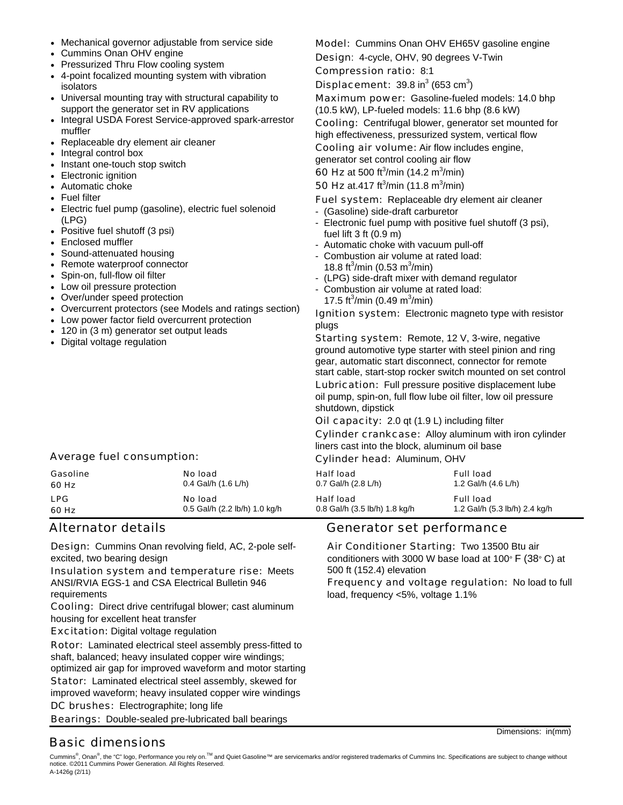- Mechanical governor adjustable from service side
- Cummins Onan OHV engine
- Pressurized Thru Flow cooling system
- 4-point focalized mounting system with vibration isolators
- Universal mounting tray with structural capability to support the generator set in RV applications
- Integral USDA Forest Service-approved spark-arrestor muffler
- Replaceable dry element air cleaner
- Integral control box
- Instant one-touch stop switch
- Electronic ignition
- Automatic choke
- Fuel filter
- Electric fuel pump (gasoline), electric fuel solenoid (LPG)
- Positive fuel shutoff (3 psi)
- Enclosed muffler
- Sound-attenuated housing
- Remote waterproof connector
- Spin-on, full-flow oil filter
- Low oil pressure protection
- Over/under speed protection
- Overcurrent protectors (see Models and ratings section)
- Low power factor field overcurrent protection
- 120 in (3 m) generator set output leads
- Digital voltage regulation

#### Average fuel consumption:

| Gasoline   | No load                       | <b>Half load</b>              | <b>Full load</b>              |
|------------|-------------------------------|-------------------------------|-------------------------------|
| 60 Hz      | 0.4 Gal/h $(1.6 L/h)$         | 0.7 Gal/h (2.8 L/h)           | 1.2 Gal/h (4.6 L/h)           |
| <b>LPG</b> | No load                       | <b>Half load</b>              | <b>Full load</b>              |
| 60 Hz      | 0.5 Gal/h (2.2 lb/h) 1.0 kg/h | 0.8 Gal/h (3.5 lb/h) 1.8 kg/h | 1.2 Gal/h (5.3 lb/h) 2.4 kg/h |

Design: Cummins Onan revolving field, AC, 2-pole selfexcited, two bearing design

Insulation system and temperature rise: Meets ANSI/RVIA EGS-1 and CSA Electrical Bulletin 946 requirements

Cooling: Direct drive centrifugal blower; cast aluminum housing for excellent heat transfer

**Excitation:** Digital voltage regulation

Rotor: Laminated electrical steel assembly press-fitted to shaft, balanced; heavy insulated copper wire windings;

optimized air gap for improved waveform and motor starting Stator: Laminated electrical steel assembly, skewed for

improved waveform; heavy insulated copper wire windings DC brushes: Electrographite; long life

Bearings: Double-sealed pre-lubricated ball bearings

#### Alternator details and all contracts are denoted Generator set performance

Air Conditioner Starting: Two 13500 Btu air conditioners with 3000 W base load at 100° F (38° C) at 500 ft (152.4) elevation

Frequency and voltage regulation: No load to full load, frequency <5%, voltage 1.1%

Dimensions: in(mm)

### Basic dimensions

Cummins®, Onan®, the "C" logo, Performance you rely on.™ and Quiet Gasoline™ are servicemarks and/or registered trademarks of Cummins Inc. Specifications are subject to change without notice. ©2011 Cummins Power Generation. All Rights Reserved. A-1426g (2/11)

Cooling air volume: Air flow includes engine. generator set control cooling air flow **60 Hz** at 500 ft<sup>3</sup>/min (14.2 m<sup>3</sup>/min) **50 Hz** at.417 ft<sup>3</sup>/min (11.8 m<sup>3</sup>/min) Fuel system: Replaceable dry element air cleaner - (Gasoline) side-draft carburetor - Electronic fuel pump with positive fuel shutoff (3 psi), fuel lift 3 ft (0.9 m)

Model: Cummins Onan OHV EH65V gasoline engine

Maximum power: Gasoline-fueled models: 14.0 bhp

Cooling: Centrifugal blower, generator set mounted for high effectiveness, pressurized system, vertical flow

Design: 4-cycle, OHV, 90 degrees V-Twin

(10.5 kW), LP-fueled models: 11.6 bhp (8.6 kW)

**Displacement:**  $39.8 \text{ in}^3 (653 \text{ cm}^3)$ 

Compression ratio: 8:1

- Automatic choke with vacuum pull-off
- Combustion air volume at rated load: 18.8 ft<sup>3</sup>/min (0.53 m<sup>3</sup>/min)
- (LPG) side-draft mixer with demand regulator
- Combustion air volume at rated load: 17.5 ft<sup>3</sup>/min (0.49 m<sup>3</sup>/min)

Ignition system: Electronic magneto type with resistor plugs

Starting system: Remote, 12 V, 3-wire, negative ground automotive type starter with steel pinion and ring gear, automatic start disconnect, connector for remote start cable, start-stop rocker switch mounted on set control Lubrication: Full pressure positive displacement lube oil pump, spin-on, full flow lube oil filter, low oil pressure shutdown, dipstick

Oil capacity: 2.0 qt (1.9 L) including filter

Cylinder crankcase: Alloy aluminum with iron cylinder liners cast into the block, aluminum oil base

Cylinder head: Aluminum, OHV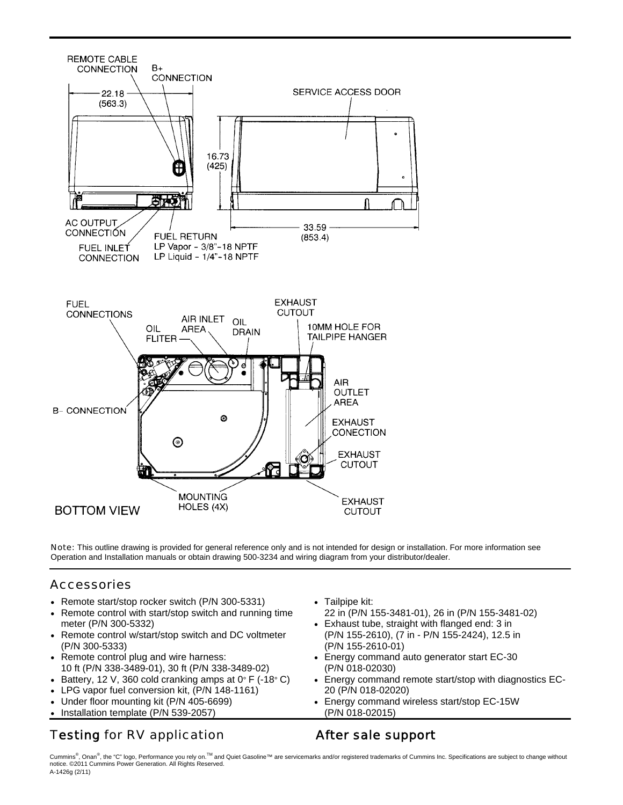

Note: This outline drawing is provided for general reference only and is not intended for design or installation. For more information see Operation and Installation manuals or obtain drawing 500-3234 and wiring diagram from your distributor/dealer.

#### Accessories

- Remote start/stop rocker switch (P/N 300-5331)
- Remote control with start/stop switch and running time meter (P/N 300-5332)
- Remote control w/start/stop switch and DC voltmeter (P/N 300-5333)
- Remote control plug and wire harness: 10 ft (P/N 338-3489-01), 30 ft (P/N 338-3489-02)
- Battery, 12 V, 360 cold cranking amps at  $0^{\circ}$  F (-18 $^{\circ}$  C)
- LPG vapor fuel conversion kit, (P/N 148-1161)
- Under floor mounting kit (P/N 405-6699)
- Installation template (P/N 539-2057)

## Testing for RV application Testing for RV application

- Tailpipe kit:
- 22 in (P/N 155-3481-01), 26 in (P/N 155-3481-02) • Exhaust tube, straight with flanged end: 3 in
- (P/N 155-2610), (7 in P/N 155-2424), 12.5 in (P/N 155-2610-01)
- Energy command auto generator start EC-30 (P/N 018-02030)
- Energy command remote start/stop with diagnostics EC-20 (P/N 018-02020)
- Energy command wireless start/stop EC-15W (P/N 018-02015)

Cummins®, Onan®, the "C" logo, Performance you rely on.™ and Quiet Gasoline™ are servicemarks and/or registered trademarks of Cummins Inc. Specifications are subject to change without notice. ©2011 Cummins Power Generation. All Rights Reserved. A-1426g (2/11)